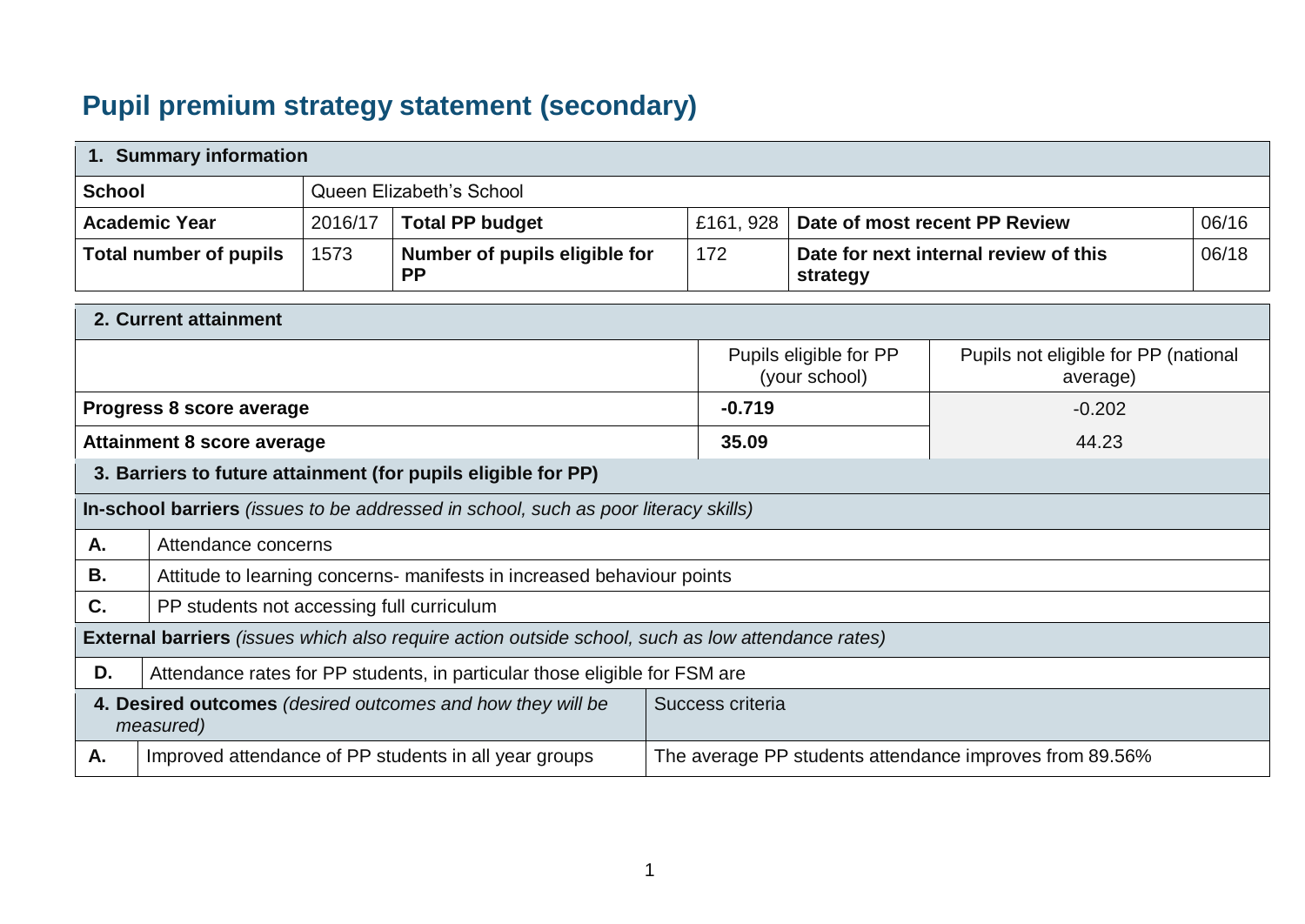## **Pupil premium strategy statement (secondary)**

|               | 1. Summary information                    |         |                                                                                                   |                  |                                                   |                                                         |       |
|---------------|-------------------------------------------|---------|---------------------------------------------------------------------------------------------------|------------------|---------------------------------------------------|---------------------------------------------------------|-------|
| <b>School</b> |                                           |         | Queen Elizabeth's School                                                                          |                  |                                                   |                                                         |       |
|               | <b>Academic Year</b>                      | 2016/17 | <b>Total PP budget</b>                                                                            | £161, 928        |                                                   | Date of most recent PP Review                           | 06/16 |
|               | <b>Total number of pupils</b>             | 1573    | Number of pupils eligible for<br><b>PP</b>                                                        | 172              | Date for next internal review of this<br>strategy |                                                         | 06/18 |
|               | 2. Current attainment                     |         |                                                                                                   |                  |                                                   |                                                         |       |
|               |                                           |         |                                                                                                   |                  | Pupils eligible for PP<br>(your school)           | Pupils not eligible for PP (national<br>average)        |       |
|               | Progress 8 score average                  |         |                                                                                                   | $-0.719$         |                                                   | $-0.202$                                                |       |
|               | <b>Attainment 8 score average</b>         |         |                                                                                                   | 35.09            |                                                   | 44.23                                                   |       |
|               |                                           |         | 3. Barriers to future attainment (for pupils eligible for PP)                                     |                  |                                                   |                                                         |       |
|               |                                           |         | In-school barriers (issues to be addressed in school, such as poor literacy skills)               |                  |                                                   |                                                         |       |
| Α.            | Attendance concerns                       |         |                                                                                                   |                  |                                                   |                                                         |       |
| В.            |                                           |         | Attitude to learning concerns- manifests in increased behaviour points                            |                  |                                                   |                                                         |       |
| C.            | PP students not accessing full curriculum |         |                                                                                                   |                  |                                                   |                                                         |       |
|               |                                           |         | External barriers (issues which also require action outside school, such as low attendance rates) |                  |                                                   |                                                         |       |
| D.            |                                           |         | Attendance rates for PP students, in particular those eligible for FSM are                        |                  |                                                   |                                                         |       |
|               | measured)                                 |         | 4. Desired outcomes (desired outcomes and how they will be                                        | Success criteria |                                                   |                                                         |       |
| Α.            |                                           |         | Improved attendance of PP students in all year groups                                             |                  |                                                   | The average PP students attendance improves from 89.56% |       |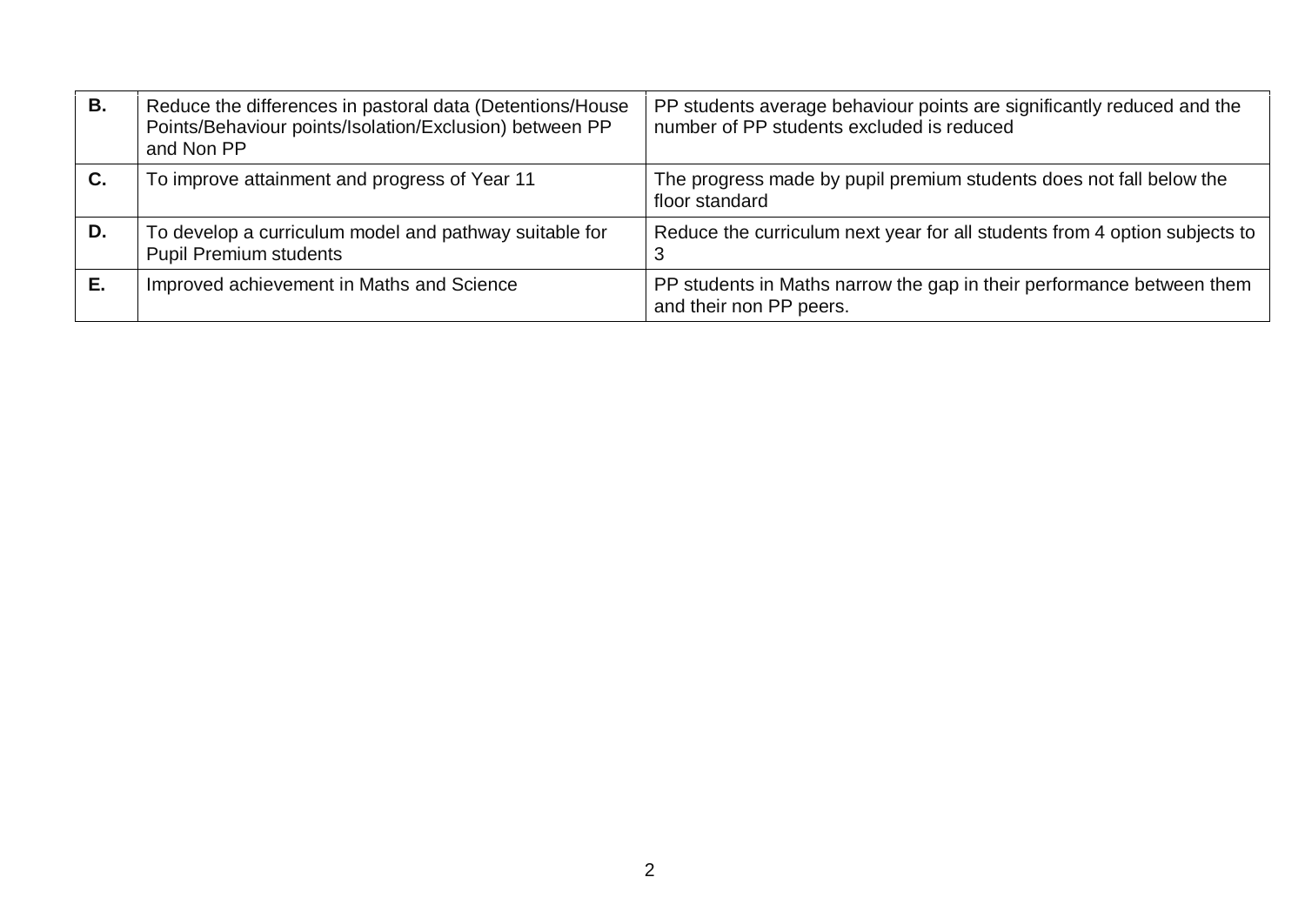| В. | Reduce the differences in pastoral data (Detentions/House<br>Points/Behaviour points/Isolation/Exclusion) between PP<br>and Non PP | PP students average behaviour points are significantly reduced and the<br>number of PP students excluded is reduced |
|----|------------------------------------------------------------------------------------------------------------------------------------|---------------------------------------------------------------------------------------------------------------------|
| C. | To improve attainment and progress of Year 11                                                                                      | The progress made by pupil premium students does not fall below the<br>floor standard                               |
| D. | To develop a curriculum model and pathway suitable for<br><b>Pupil Premium students</b>                                            | Reduce the curriculum next year for all students from 4 option subjects to                                          |
|    | Improved achievement in Maths and Science                                                                                          | PP students in Maths narrow the gap in their performance between them<br>and their non PP peers.                    |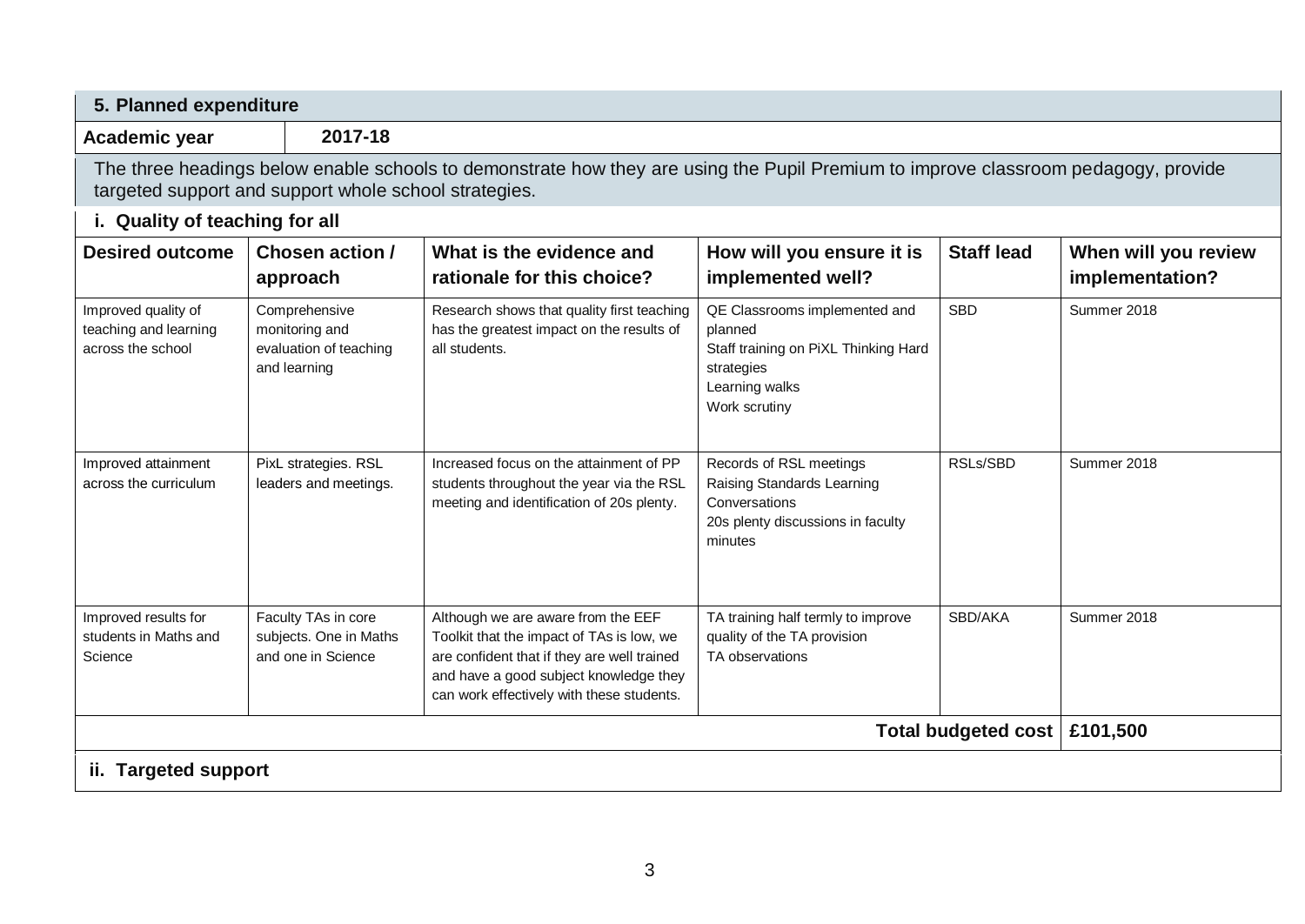| Academic year                                                     | 2017-18                                                                   |                                                                                                                                                                                                                       |                                                                                                                                   |                                |                                         |
|-------------------------------------------------------------------|---------------------------------------------------------------------------|-----------------------------------------------------------------------------------------------------------------------------------------------------------------------------------------------------------------------|-----------------------------------------------------------------------------------------------------------------------------------|--------------------------------|-----------------------------------------|
|                                                                   | targeted support and support whole school strategies.                     | The three headings below enable schools to demonstrate how they are using the Pupil Premium to improve classroom pedagogy, provide                                                                                    |                                                                                                                                   |                                |                                         |
| i. Quality of teaching for all                                    |                                                                           |                                                                                                                                                                                                                       |                                                                                                                                   |                                |                                         |
| <b>Desired outcome</b>                                            | Chosen action /<br>approach                                               | What is the evidence and<br>rationale for this choice?                                                                                                                                                                | How will you ensure it is<br>implemented well?                                                                                    | <b>Staff lead</b>              | When will you review<br>implementation? |
| Improved quality of<br>teaching and learning<br>across the school | Comprehensive<br>monitoring and<br>evaluation of teaching<br>and learning | Research shows that quality first teaching<br>has the greatest impact on the results of<br>all students.                                                                                                              | QE Classrooms implemented and<br>planned<br>Staff training on PiXL Thinking Hard<br>strategies<br>Learning walks<br>Work scrutiny | <b>SBD</b>                     | Summer 2018                             |
| Improved attainment<br>across the curriculum                      | PixL strategies. RSL<br>leaders and meetings.                             | Increased focus on the attainment of PP<br>students throughout the year via the RSL<br>meeting and identification of 20s plenty.                                                                                      | Records of RSL meetings<br>Raising Standards Learning<br>Conversations<br>20s plenty discussions in faculty<br>minutes            | RSLs/SBD                       | Summer 2018                             |
| Improved results for<br>students in Maths and<br>Science          | Faculty TAs in core<br>subjects. One in Maths<br>and one in Science       | Although we are aware from the EEF<br>Toolkit that the impact of TAs is low, we<br>are confident that if they are well trained<br>and have a good subject knowledge they<br>can work effectively with these students. | TA training half termly to improve<br>quality of the TA provision<br>TA observations                                              | SBD/AKA                        | Summer 2018                             |
|                                                                   |                                                                           |                                                                                                                                                                                                                       |                                                                                                                                   | Total budgeted cost   £101,500 |                                         |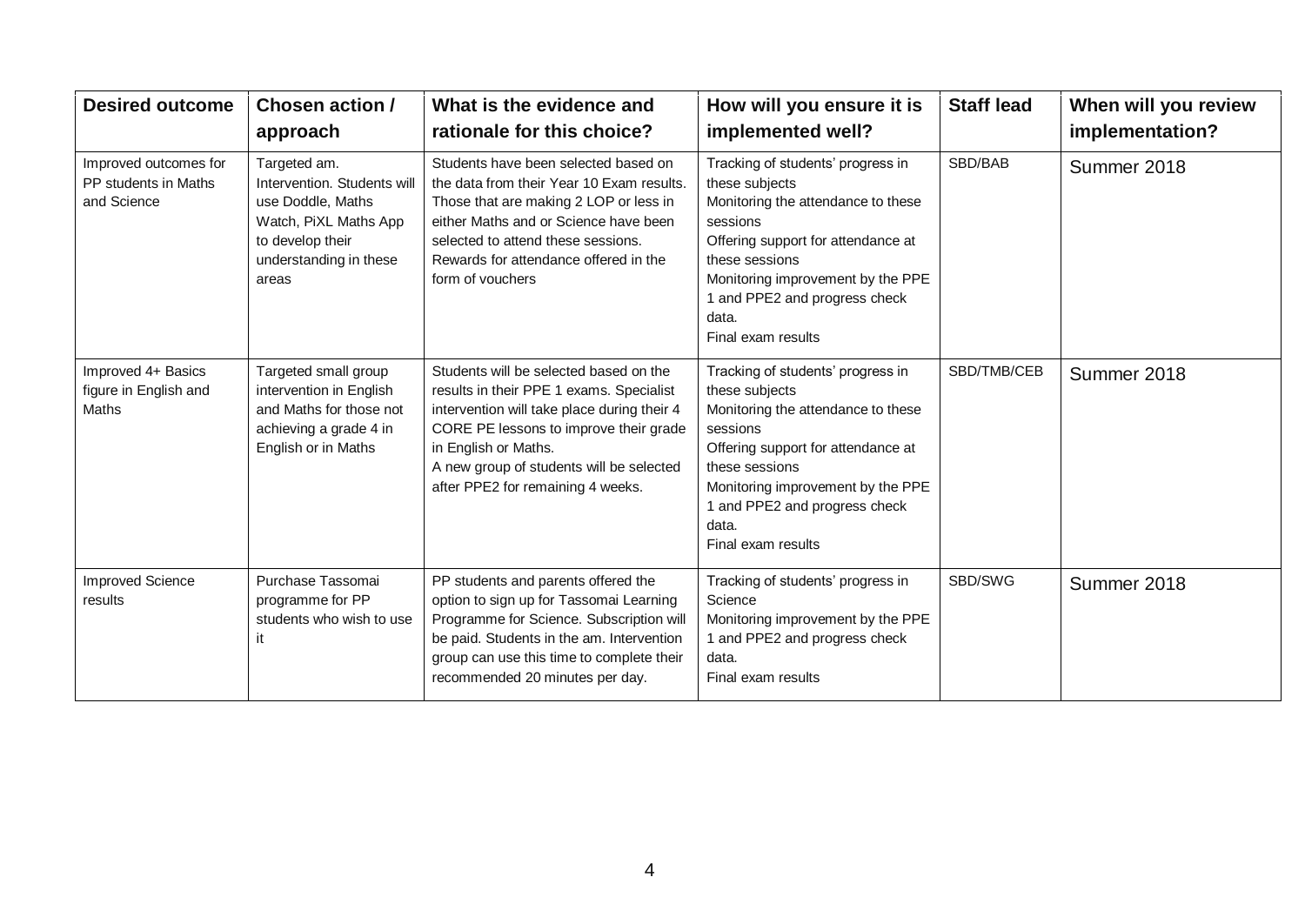| <b>Desired outcome</b>                                       | Chosen action /<br>approach                                                                                                                      | What is the evidence and<br>rationale for this choice?                                                                                                                                                                                                                               | How will you ensure it is<br>implemented well?                                                                                                                                                                                                                     | <b>Staff lead</b> | When will you review<br>implementation? |
|--------------------------------------------------------------|--------------------------------------------------------------------------------------------------------------------------------------------------|--------------------------------------------------------------------------------------------------------------------------------------------------------------------------------------------------------------------------------------------------------------------------------------|--------------------------------------------------------------------------------------------------------------------------------------------------------------------------------------------------------------------------------------------------------------------|-------------------|-----------------------------------------|
| Improved outcomes for<br>PP students in Maths<br>and Science | Targeted am.<br>Intervention. Students will<br>use Doddle, Maths<br>Watch, PiXL Maths App<br>to develop their<br>understanding in these<br>areas | Students have been selected based on<br>the data from their Year 10 Exam results.<br>Those that are making 2 LOP or less in<br>either Maths and or Science have been<br>selected to attend these sessions.<br>Rewards for attendance offered in the<br>form of vouchers              | Tracking of students' progress in<br>these subjects<br>Monitoring the attendance to these<br>sessions<br>Offering support for attendance at<br>these sessions<br>Monitoring improvement by the PPE<br>1 and PPE2 and progress check<br>data.<br>Final exam results | SBD/BAB           | Summer 2018                             |
| Improved 4+ Basics<br>figure in English and<br><b>Maths</b>  | Targeted small group<br>intervention in English<br>and Maths for those not<br>achieving a grade 4 in<br>English or in Maths                      | Students will be selected based on the<br>results in their PPE 1 exams. Specialist<br>intervention will take place during their 4<br>CORE PE lessons to improve their grade<br>in English or Maths.<br>A new group of students will be selected<br>after PPE2 for remaining 4 weeks. | Tracking of students' progress in<br>these subjects<br>Monitoring the attendance to these<br>sessions<br>Offering support for attendance at<br>these sessions<br>Monitoring improvement by the PPE<br>1 and PPE2 and progress check<br>data.<br>Final exam results | SBD/TMB/CEB       | Summer 2018                             |
| <b>Improved Science</b><br>results                           | Purchase Tassomai<br>programme for PP<br>students who wish to use                                                                                | PP students and parents offered the<br>option to sign up for Tassomai Learning<br>Programme for Science. Subscription will<br>be paid. Students in the am. Intervention<br>group can use this time to complete their<br>recommended 20 minutes per day.                              | Tracking of students' progress in<br>Science<br>Monitoring improvement by the PPE<br>1 and PPE2 and progress check<br>data.<br>Final exam results                                                                                                                  | SBD/SWG           | Summer 2018                             |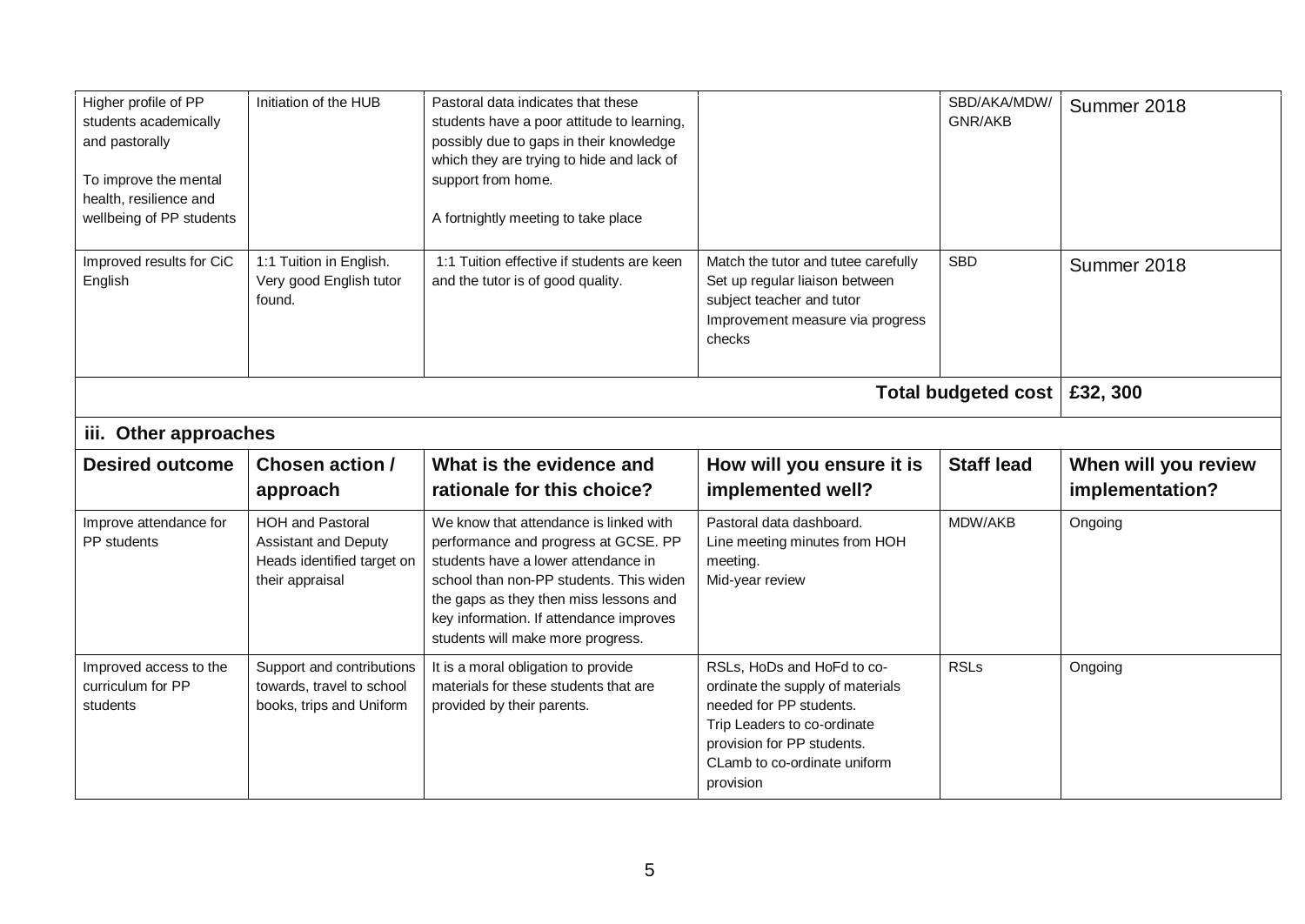| Higher profile of PP<br>students academically<br>and pastorally<br>To improve the mental<br>health, resilience and<br>wellbeing of PP students | Initiation of the HUB                                                                                   | Pastoral data indicates that these<br>students have a poor attitude to learning,<br>possibly due to gaps in their knowledge<br>which they are trying to hide and lack of<br>support from home.<br>A fortnightly meeting to take place                                                      |                                                                                                                                                  | SBD/AKA/MDW/<br>GNR/AKB | Summer 2018          |
|------------------------------------------------------------------------------------------------------------------------------------------------|---------------------------------------------------------------------------------------------------------|--------------------------------------------------------------------------------------------------------------------------------------------------------------------------------------------------------------------------------------------------------------------------------------------|--------------------------------------------------------------------------------------------------------------------------------------------------|-------------------------|----------------------|
| Improved results for CiC<br>English                                                                                                            | 1:1 Tuition in English.<br>Very good English tutor<br>found.                                            | 1:1 Tuition effective if students are keen<br>and the tutor is of good quality.                                                                                                                                                                                                            | Match the tutor and tutee carefully<br>Set up regular liaison between<br>subject teacher and tutor<br>Improvement measure via progress<br>checks | <b>SBD</b>              | Summer 2018          |
|                                                                                                                                                |                                                                                                         |                                                                                                                                                                                                                                                                                            |                                                                                                                                                  | Total budgeted cost     | £32, 300             |
| iii. Other approaches                                                                                                                          |                                                                                                         |                                                                                                                                                                                                                                                                                            |                                                                                                                                                  |                         |                      |
|                                                                                                                                                |                                                                                                         |                                                                                                                                                                                                                                                                                            |                                                                                                                                                  |                         |                      |
| <b>Desired outcome</b>                                                                                                                         | Chosen action /                                                                                         | What is the evidence and                                                                                                                                                                                                                                                                   | How will you ensure it is                                                                                                                        | <b>Staff lead</b>       | When will you review |
|                                                                                                                                                | approach                                                                                                | rationale for this choice?                                                                                                                                                                                                                                                                 | implemented well?                                                                                                                                |                         | implementation?      |
| Improve attendance for<br>PP students                                                                                                          | <b>HOH and Pastoral</b><br><b>Assistant and Deputy</b><br>Heads identified target on<br>their appraisal | We know that attendance is linked with<br>performance and progress at GCSE. PP<br>students have a lower attendance in<br>school than non-PP students. This widen<br>the gaps as they then miss lessons and<br>key information. If attendance improves<br>students will make more progress. | Pastoral data dashboard.<br>Line meeting minutes from HOH<br>meeting.<br>Mid-year review                                                         | MDW/AKB                 | Ongoing              |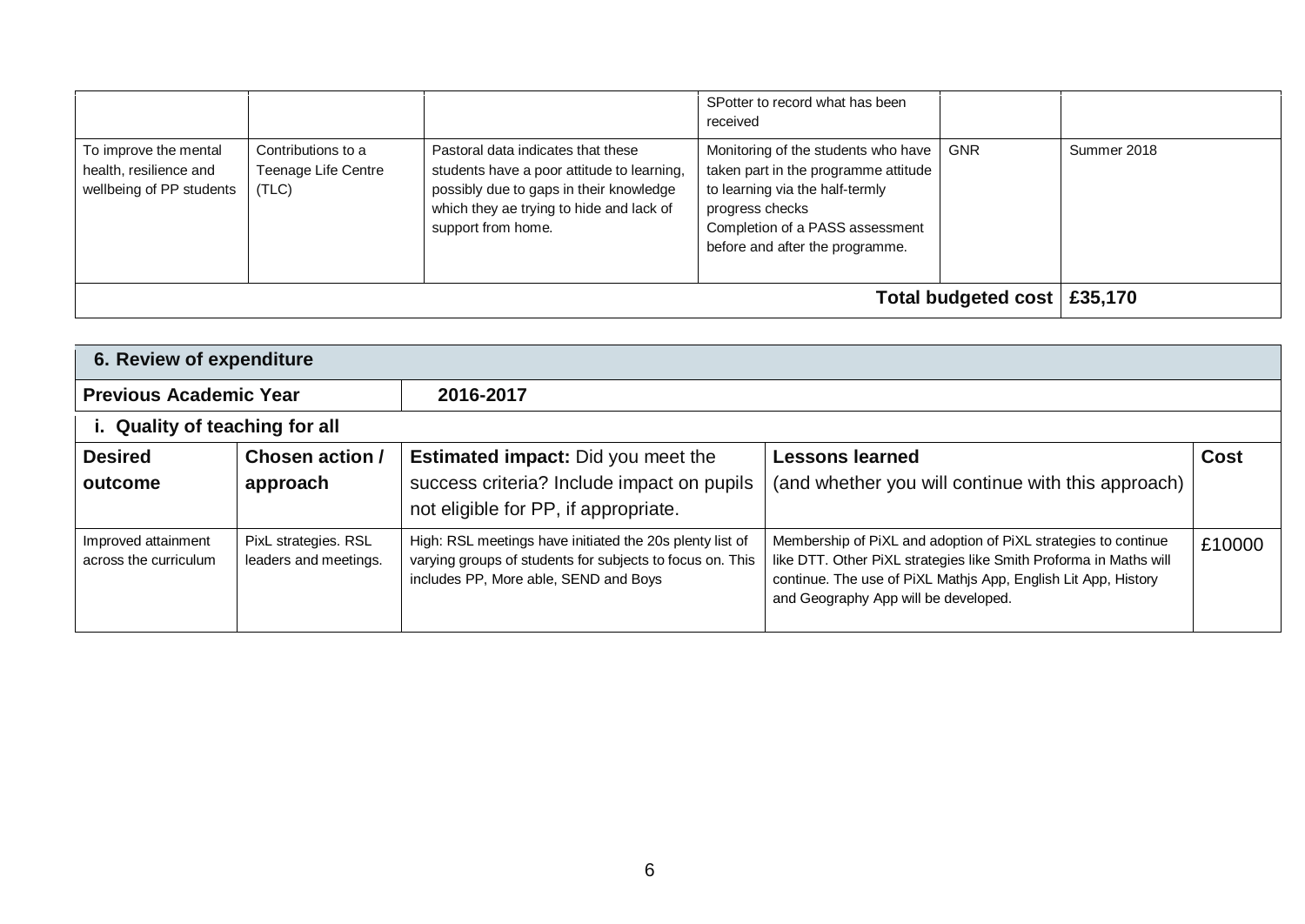|                                                                             |                                                    |                                                                                                                                                                                               | SPotter to record what has been<br>received                                                                                                                                                             |                               |             |
|-----------------------------------------------------------------------------|----------------------------------------------------|-----------------------------------------------------------------------------------------------------------------------------------------------------------------------------------------------|---------------------------------------------------------------------------------------------------------------------------------------------------------------------------------------------------------|-------------------------------|-------------|
| To improve the mental<br>health, resilience and<br>wellbeing of PP students | Contributions to a<br>Teenage Life Centre<br>(TLC) | Pastoral data indicates that these<br>students have a poor attitude to learning,<br>possibly due to gaps in their knowledge<br>which they ae trying to hide and lack of<br>support from home. | Monitoring of the students who have<br>taken part in the programme attitude<br>to learning via the half-termly<br>progress checks<br>Completion of a PASS assessment<br>before and after the programme. | <b>GNR</b>                    | Summer 2018 |
|                                                                             |                                                    |                                                                                                                                                                                               |                                                                                                                                                                                                         | Total budgeted cost   £35,170 |             |

| 6. Review of expenditure                     |                                               |                                                                                                                                                                |                                                                                                                                                                                                                                               |             |  |
|----------------------------------------------|-----------------------------------------------|----------------------------------------------------------------------------------------------------------------------------------------------------------------|-----------------------------------------------------------------------------------------------------------------------------------------------------------------------------------------------------------------------------------------------|-------------|--|
| <b>Previous Academic Year</b>                |                                               | 2016-2017                                                                                                                                                      |                                                                                                                                                                                                                                               |             |  |
| i. Quality of teaching for all               |                                               |                                                                                                                                                                |                                                                                                                                                                                                                                               |             |  |
| <b>Desired</b><br>outcome                    | Chosen action /<br>approach                   | <b>Estimated impact:</b> Did you meet the<br>success criteria? Include impact on pupils<br>not eligible for PP, if appropriate.                                | <b>Lessons learned</b><br>(and whether you will continue with this approach)                                                                                                                                                                  | <b>Cost</b> |  |
| Improved attainment<br>across the curriculum | PixL strategies. RSL<br>leaders and meetings. | High: RSL meetings have initiated the 20s plenty list of<br>varying groups of students for subjects to focus on. This<br>includes PP, More able, SEND and Boys | Membership of PiXL and adoption of PiXL strategies to continue<br>like DTT. Other PiXL strategies like Smith Proforma in Maths will<br>continue. The use of PiXL Mathjs App, English Lit App, History<br>and Geography App will be developed. | £10000      |  |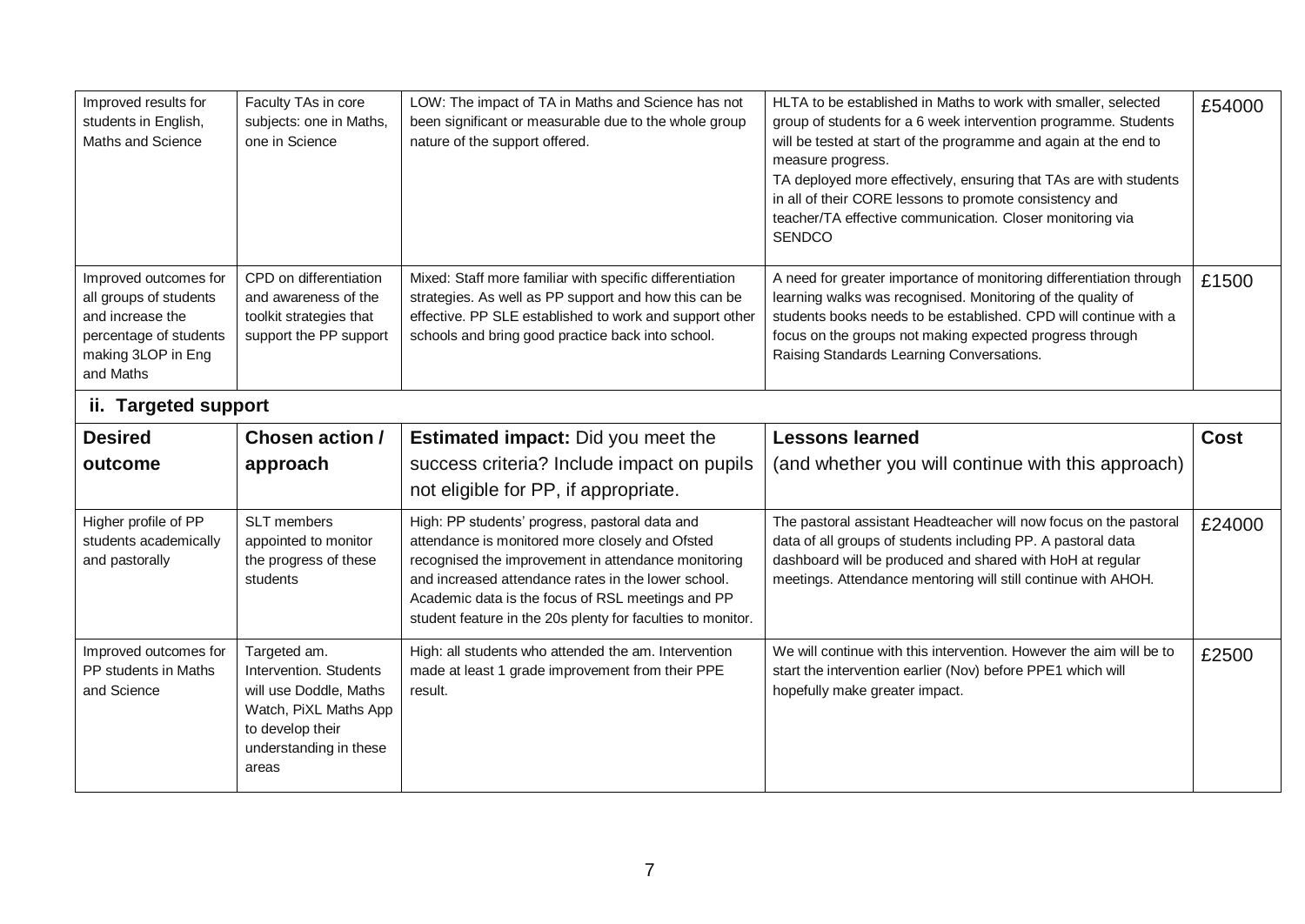| Improved results for<br>students in English,<br>Maths and Science                                                                | Faculty TAs in core<br>subjects: one in Maths,<br>one in Science                                                                                 | LOW: The impact of TA in Maths and Science has not<br>been significant or measurable due to the whole group<br>nature of the support offered.                                                                                                                                                                                       | HLTA to be established in Maths to work with smaller, selected<br>group of students for a 6 week intervention programme. Students<br>will be tested at start of the programme and again at the end to<br>measure progress.<br>TA deployed more effectively, ensuring that TAs are with students<br>in all of their CORE lessons to promote consistency and<br>teacher/TA effective communication. Closer monitoring via<br><b>SENDCO</b> | £54000      |
|----------------------------------------------------------------------------------------------------------------------------------|--------------------------------------------------------------------------------------------------------------------------------------------------|-------------------------------------------------------------------------------------------------------------------------------------------------------------------------------------------------------------------------------------------------------------------------------------------------------------------------------------|------------------------------------------------------------------------------------------------------------------------------------------------------------------------------------------------------------------------------------------------------------------------------------------------------------------------------------------------------------------------------------------------------------------------------------------|-------------|
| Improved outcomes for<br>all groups of students<br>and increase the<br>percentage of students<br>making 3LOP in Eng<br>and Maths | CPD on differentiation<br>and awareness of the<br>toolkit strategies that<br>support the PP support                                              | Mixed: Staff more familiar with specific differentiation<br>strategies. As well as PP support and how this can be<br>effective. PP SLE established to work and support other<br>schools and bring good practice back into school.                                                                                                   | A need for greater importance of monitoring differentiation through<br>learning walks was recognised. Monitoring of the quality of<br>students books needs to be established. CPD will continue with a<br>focus on the groups not making expected progress through<br>Raising Standards Learning Conversations.                                                                                                                          | £1500       |
| ii. Targeted support                                                                                                             |                                                                                                                                                  |                                                                                                                                                                                                                                                                                                                                     |                                                                                                                                                                                                                                                                                                                                                                                                                                          |             |
| <b>Desired</b><br>outcome                                                                                                        | <b>Chosen action /</b><br>approach                                                                                                               | <b>Estimated impact:</b> Did you meet the<br>success criteria? Include impact on pupils<br>not eligible for PP, if appropriate.                                                                                                                                                                                                     | <b>Lessons learned</b><br>(and whether you will continue with this approach)                                                                                                                                                                                                                                                                                                                                                             | <b>Cost</b> |
| Higher profile of PP<br>students academically<br>and pastorally                                                                  | SLT members<br>appointed to monitor<br>the progress of these<br>students                                                                         | High: PP students' progress, pastoral data and<br>attendance is monitored more closely and Ofsted<br>recognised the improvement in attendance monitoring<br>and increased attendance rates in the lower school.<br>Academic data is the focus of RSL meetings and PP<br>student feature in the 20s plenty for faculties to monitor. | The pastoral assistant Headteacher will now focus on the pastoral<br>data of all groups of students including PP. A pastoral data<br>dashboard will be produced and shared with HoH at regular<br>meetings. Attendance mentoring will still continue with AHOH.                                                                                                                                                                          | £24000      |
| Improved outcomes for<br>PP students in Maths<br>and Science                                                                     | Targeted am.<br>Intervention. Students<br>will use Doddle, Maths<br>Watch, PiXL Maths App<br>to develop their<br>understanding in these<br>areas | High: all students who attended the am. Intervention<br>made at least 1 grade improvement from their PPE<br>result.                                                                                                                                                                                                                 | We will continue with this intervention. However the aim will be to<br>start the intervention earlier (Nov) before PPE1 which will<br>hopefully make greater impact.                                                                                                                                                                                                                                                                     | £2500       |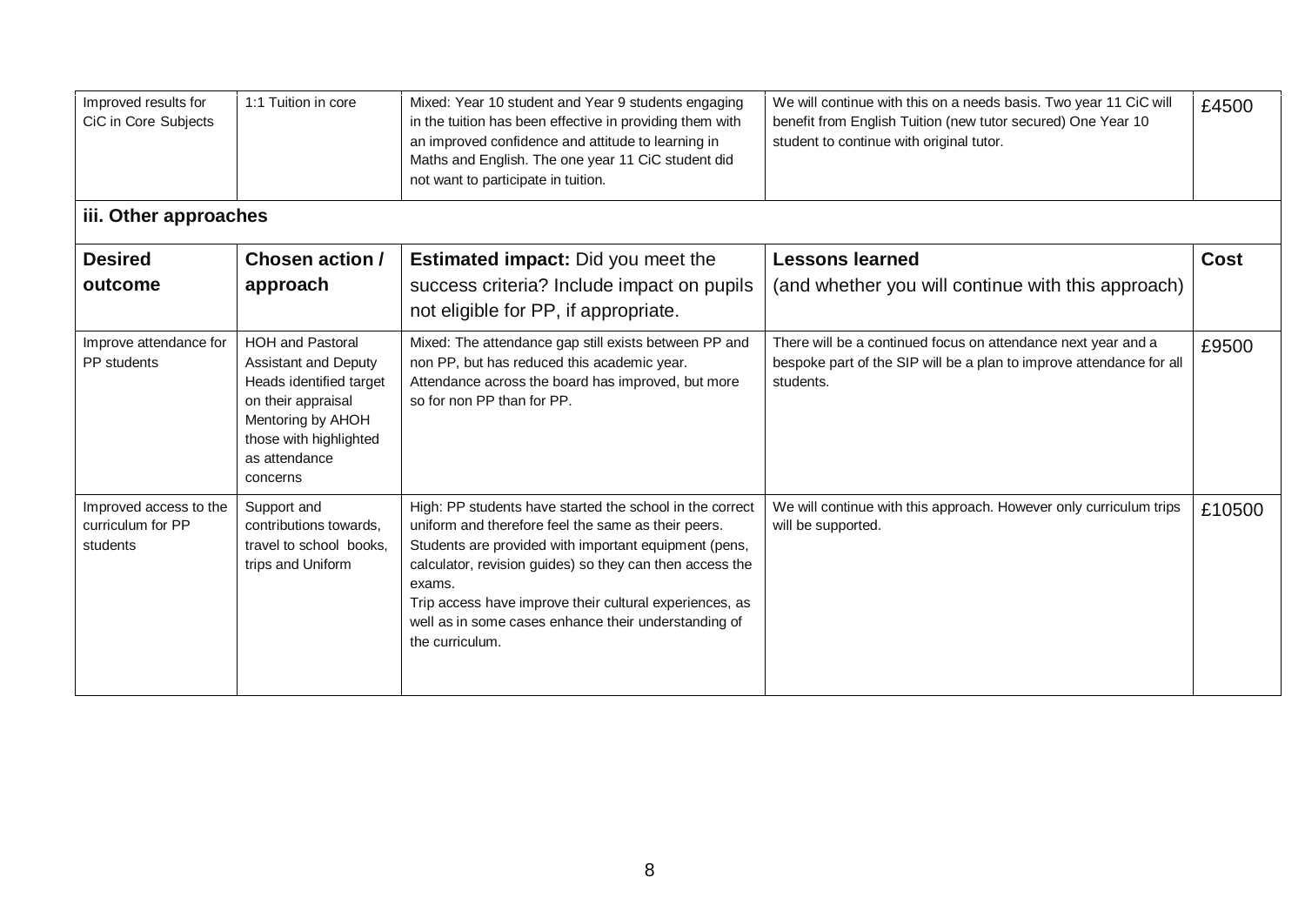| Improved results for<br>CiC in Core Subjects            | 1:1 Tuition in core                                                                                                                                                                 | Mixed: Year 10 student and Year 9 students engaging<br>in the tuition has been effective in providing them with<br>an improved confidence and attitude to learning in<br>Maths and English. The one year 11 CiC student did<br>not want to participate in tuition.                                                                                                                   | We will continue with this on a needs basis. Two year 11 CiC will<br>benefit from English Tuition (new tutor secured) One Year 10<br>student to continue with original tutor. | £4500       |
|---------------------------------------------------------|-------------------------------------------------------------------------------------------------------------------------------------------------------------------------------------|--------------------------------------------------------------------------------------------------------------------------------------------------------------------------------------------------------------------------------------------------------------------------------------------------------------------------------------------------------------------------------------|-------------------------------------------------------------------------------------------------------------------------------------------------------------------------------|-------------|
| iii. Other approaches                                   |                                                                                                                                                                                     |                                                                                                                                                                                                                                                                                                                                                                                      |                                                                                                                                                                               |             |
| <b>Desired</b><br>outcome                               | Chosen action /<br>approach                                                                                                                                                         | <b>Estimated impact:</b> Did you meet the<br>success criteria? Include impact on pupils<br>not eligible for PP, if appropriate.                                                                                                                                                                                                                                                      | <b>Lessons learned</b><br>(and whether you will continue with this approach)                                                                                                  | <b>Cost</b> |
| Improve attendance for<br>PP students                   | <b>HOH and Pastoral</b><br><b>Assistant and Deputy</b><br>Heads identified target<br>on their appraisal<br>Mentoring by AHOH<br>those with highlighted<br>as attendance<br>concerns | Mixed: The attendance gap still exists between PP and<br>non PP, but has reduced this academic year.<br>Attendance across the board has improved, but more<br>so for non PP than for PP.                                                                                                                                                                                             | There will be a continued focus on attendance next year and a<br>bespoke part of the SIP will be a plan to improve attendance for all<br>students.                            | £9500       |
| Improved access to the<br>curriculum for PP<br>students | Support and<br>contributions towards,<br>travel to school books.<br>trips and Uniform                                                                                               | High: PP students have started the school in the correct<br>uniform and therefore feel the same as their peers.<br>Students are provided with important equipment (pens,<br>calculator, revision guides) so they can then access the<br>exams.<br>Trip access have improve their cultural experiences, as<br>well as in some cases enhance their understanding of<br>the curriculum. | We will continue with this approach. However only curriculum trips<br>will be supported.                                                                                      | £10500      |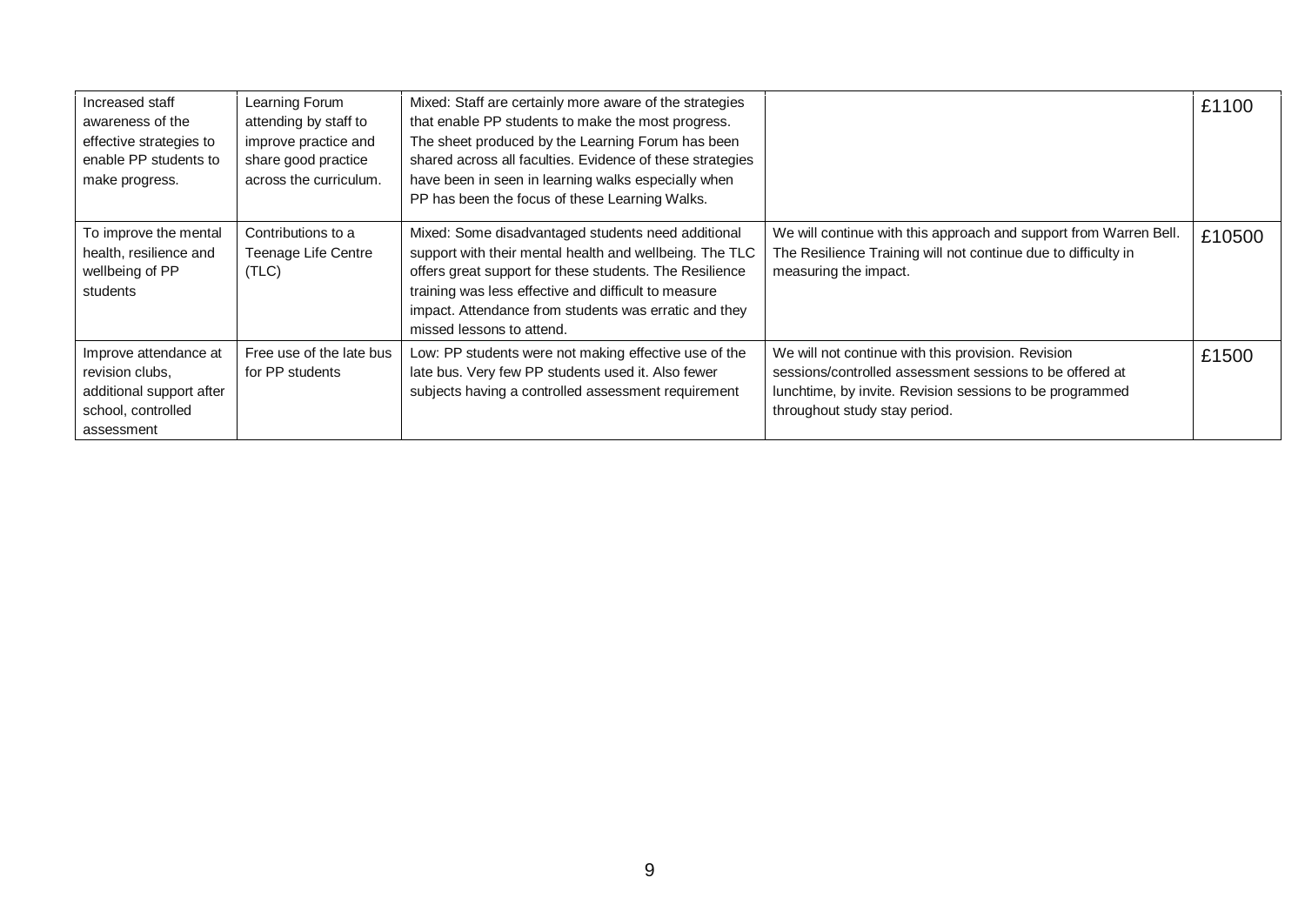| Increased staff<br>awareness of the<br>effective strategies to<br>enable PP students to<br>make progress. | Learning Forum<br>attending by staff to<br>improve practice and<br>share good practice<br>across the curriculum. | Mixed: Staff are certainly more aware of the strategies<br>that enable PP students to make the most progress.<br>The sheet produced by the Learning Forum has been<br>shared across all faculties. Evidence of these strategies<br>have been in seen in learning walks especially when<br>PP has been the focus of these Learning Walks. |                                                                                                                                                                                                             | £1100  |
|-----------------------------------------------------------------------------------------------------------|------------------------------------------------------------------------------------------------------------------|------------------------------------------------------------------------------------------------------------------------------------------------------------------------------------------------------------------------------------------------------------------------------------------------------------------------------------------|-------------------------------------------------------------------------------------------------------------------------------------------------------------------------------------------------------------|--------|
| To improve the mental<br>health, resilience and<br>wellbeing of PP<br>students                            | Contributions to a<br>Teenage Life Centre<br>(TLC)                                                               | Mixed: Some disadvantaged students need additional<br>support with their mental health and wellbeing. The TLC<br>offers great support for these students. The Resilience<br>training was less effective and difficult to measure<br>impact. Attendance from students was erratic and they<br>missed lessons to attend.                   | We will continue with this approach and support from Warren Bell.<br>The Resilience Training will not continue due to difficulty in<br>measuring the impact.                                                | £10500 |
| Improve attendance at<br>revision clubs.<br>additional support after<br>school, controlled<br>assessment  | Free use of the late bus<br>for PP students                                                                      | Low: PP students were not making effective use of the<br>late bus. Very few PP students used it. Also fewer<br>subjects having a controlled assessment requirement                                                                                                                                                                       | We will not continue with this provision. Revision<br>sessions/controlled assessment sessions to be offered at<br>lunchtime, by invite. Revision sessions to be programmed<br>throughout study stay period. | £1500  |